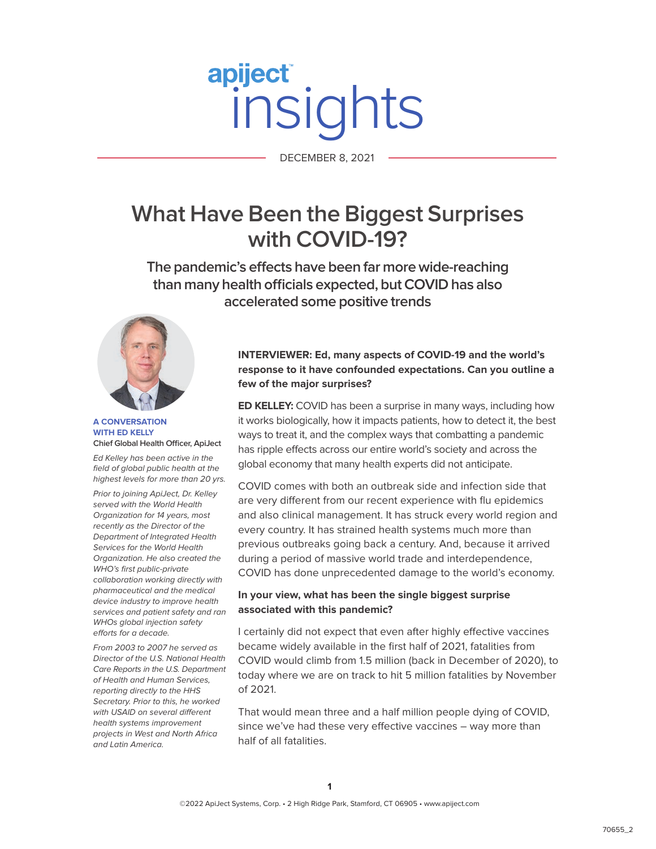# apiject DECEMBER 8, 2021

DECEMBER 8, 2021

# **What Have Been the Biggest Surprises with COVID-19?**

**The pandemic's effects have been far more wide-reaching than many health officials expected, but COVID has also accelerated some positive trends** 



#### **A CONVERSATION WITH ED KELLY Chief Global Health Officer, ApiJect**

Ed Kelley has been active in the field of global public health at the highest levels for more than 20 yrs.

Prior to joining ApiJect, Dr. Kelley served with the World Health Organization for 14 years, most recently as the Director of the Department of Integrated Health Services for the World Health Organization. He also created the WHO's first public-private collaboration working directly with pharmaceutical and the medical device industry to improve health services and patient safety and ran WHOs global injection safety efforts for a decade.

From 2003 to 2007 he served as Director of the U.S. National Health Care Reports in the U.S. Department of Health and Human Services, reporting directly to the HHS Secretary. Prior to this, he worked with USAID on several different health systems improvement projects in West and North Africa and Latin America.

# **INTERVIEWER: Ed, many aspects of COVID-19 and the world's response to it have confounded expectations. Can you outline a few of the major surprises?**

**ED KELLEY:** COVID has been a surprise in many ways, including how it works biologically, how it impacts patients, how to detect it, the best ways to treat it, and the complex ways that combatting a pandemic has ripple effects across our entire world's society and across the global economy that many health experts did not anticipate.

COVID comes with both an outbreak side and infection side that are very different from our recent experience with flu epidemics and also clinical management. It has struck every world region and every country. It has strained health systems much more than previous outbreaks going back a century. And, because it arrived during a period of massive world trade and interdependence, COVID has done unprecedented damage to the world's economy.

## **In your view, what has been the single biggest surprise associated with this pandemic?**

I certainly did not expect that even after highly effective vaccines became widely available in the first half of 2021, fatalities from COVID would climb from 1.5 million (back in December of 2020), to today where we are on track to hit 5 million fatalities by November of 2021.

That would mean three and a half million people dying of COVID, since we've had these very effective vaccines – way more than half of all fatalities.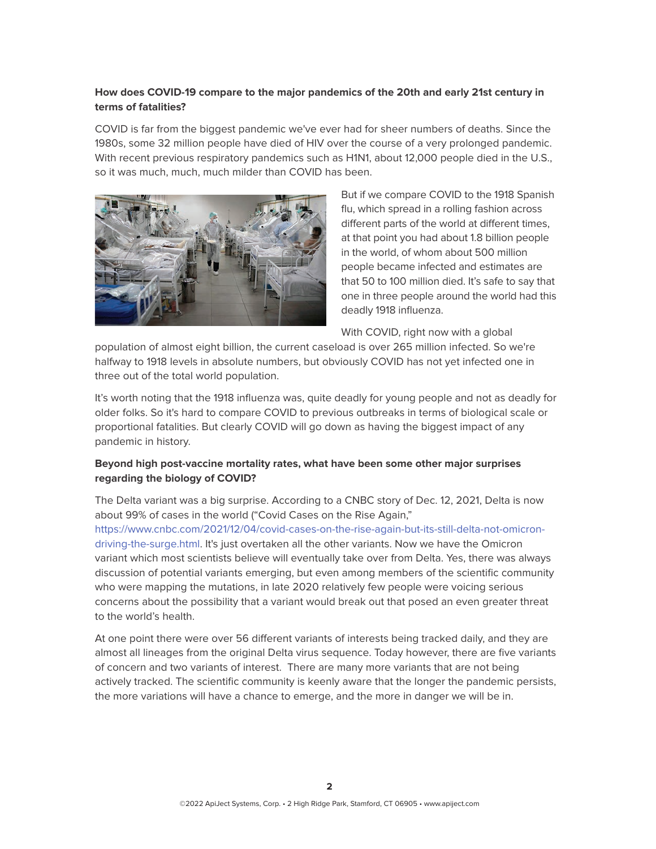# **How does COVID-19 compare to the major pandemics of the 20th and early 21st century in terms of fatalities?**

COVID is far from the biggest pandemic we've ever had for sheer numbers of deaths. Since the 1980s, some 32 million people have died of HIV over the course of a very prolonged pandemic. With recent previous respiratory pandemics such as H1N1, about 12,000 people died in the U.S., so it was much, much, much milder than COVID has been.



But if we compare COVID to the 1918 Spanish flu, which spread in a rolling fashion across different parts of the world at different times, at that point you had about 1.8 billion people in the world, of whom about 500 million people became infected and estimates are that 50 to 100 million died. It's safe to say that one in three people around the world had this deadly 1918 influenza.

With COVID, right now with a global

population of almost eight billion, the current caseload is over 265 million infected. So we're halfway to 1918 levels in absolute numbers, but obviously COVID has not yet infected one in three out of the total world population.

It's worth noting that the 1918 influenza was, quite deadly for young people and not as deadly for older folks. So it's hard to compare COVID to previous outbreaks in terms of biological scale or proportional fatalities. But clearly COVID will go down as having the biggest impact of any pandemic in history.

## **Beyond high post-vaccine mortality rates, what have been some other major surprises regarding the biology of COVID?**

The Delta variant was a big surprise. According to a CNBC story of Dec. 12, 2021, Delta is now about 99% of cases in the world ("Covid Cases on the Rise Again," [https://www.cnbc.com/2021/12/04/covid-cases-on-the-rise-again-but-its-still-delta-not-omicron](https://www.cnbc.com/2021/12/04/covid-cases-on-the-rise-again-but-its-still-delta-not-omicron-driving-the-surge.html)[driving-the-surge.html.](https://www.cnbc.com/2021/12/04/covid-cases-on-the-rise-again-but-its-still-delta-not-omicron-driving-the-surge.html) It's just overtaken all the other variants. Now we have the Omicron variant which most scientists believe will eventually take over from Delta. Yes, there was always discussion of potential variants emerging, but even among members of the scientific community who were mapping the mutations, in late 2020 relatively few people were voicing serious concerns about the possibility that a variant would break out that posed an even greater threat to the world's health.

At one point there were over 56 different variants of interests being tracked daily, and they are almost all lineages from the original Delta virus sequence. Today however, there are five variants of concern and two variants of interest. There are many more variants that are not being actively tracked. The scientific community is keenly aware that the longer the pandemic persists, the more variations will have a chance to emerge, and the more in danger we will be in.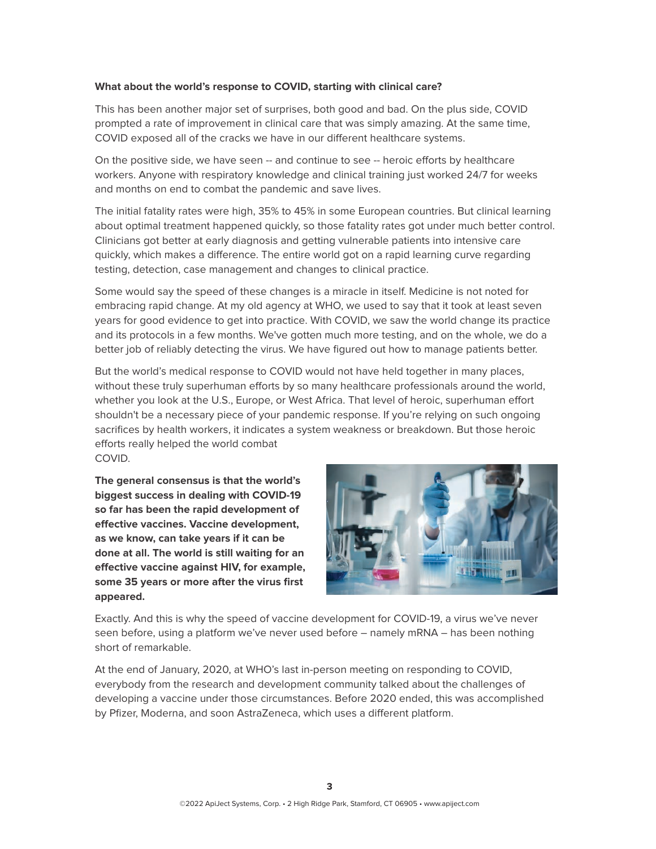#### **What about the world's response to COVID, starting with clinical care?**

This has been another major set of surprises, both good and bad. On the plus side, COVID prompted a rate of improvement in clinical care that was simply amazing. At the same time, COVID exposed all of the cracks we have in our different healthcare systems.

On the positive side, we have seen -- and continue to see -- heroic efforts by healthcare workers. Anyone with respiratory knowledge and clinical training just worked 24/7 for weeks and months on end to combat the pandemic and save lives.

The initial fatality rates were high, 35% to 45% in some European countries. But clinical learning about optimal treatment happened quickly, so those fatality rates got under much better control. Clinicians got better at early diagnosis and getting vulnerable patients into intensive care quickly, which makes a difference. The entire world got on a rapid learning curve regarding testing, detection, case management and changes to clinical practice.

Some would say the speed of these changes is a miracle in itself. Medicine is not noted for embracing rapid change. At my old agency at WHO, we used to say that it took at least seven years for good evidence to get into practice. With COVID, we saw the world change its practice and its protocols in a few months. We've gotten much more testing, and on the whole, we do a better job of reliably detecting the virus. We have figured out how to manage patients better.

But the world's medical response to COVID would not have held together in many places, without these truly superhuman efforts by so many healthcare professionals around the world, whether you look at the U.S., Europe, or West Africa. That level of heroic, superhuman effort shouldn't be a necessary piece of your pandemic response. If you're relying on such ongoing sacrifices by health workers, it indicates a system weakness or breakdown. But those heroic efforts really helped the world combat COVID.

**The general consensus is that the world's biggest success in dealing with COVID-19 so far has been the rapid development of effective vaccines. Vaccine development, as we know, can take years if it can be done at all. The world is still waiting for an effective vaccine against HIV, for example, some 35 years or more after the virus first appeared.** 



Exactly. And this is why the speed of vaccine development for COVID-19, a virus we've never seen before, using a platform we've never used before – namely mRNA – has been nothing short of remarkable.

At the end of January, 2020, at WHO's last in-person meeting on responding to COVID, everybody from the research and development community talked about the challenges of developing a vaccine under those circumstances. Before 2020 ended, this was accomplished by Pfizer, Moderna, and soon AstraZeneca, which uses a different platform.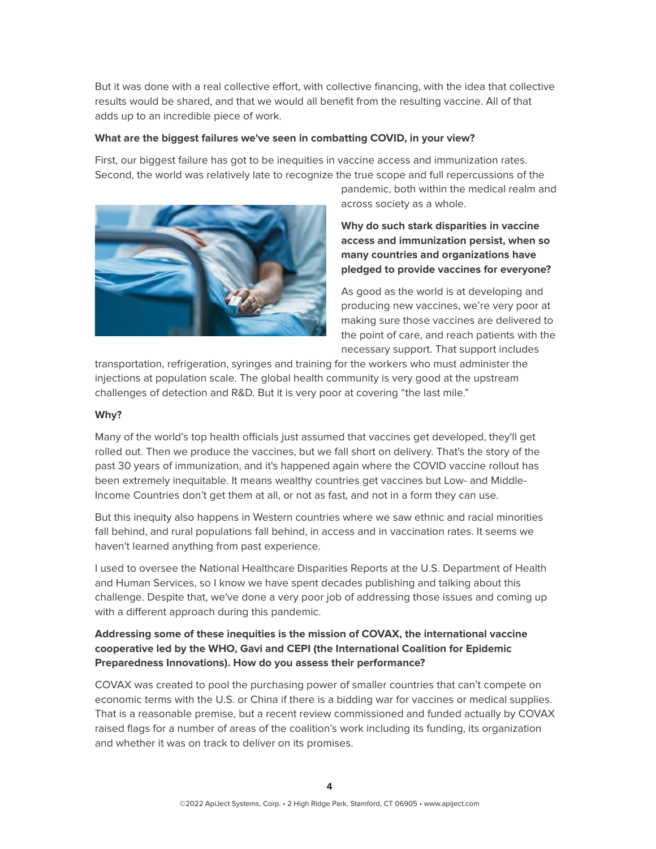But it was done with a real collective effort, with collective financing, with the idea that collective results would be shared, and that we would all benefit from the resulting vaccine. All of that adds up to an incredible piece of work.

#### **What are the biggest failures we've seen in combatting COVID, in your view?**

First, our biggest failure has got to be inequities in vaccine access and immunization rates. Second, the world was relatively late to recognize the true scope and full repercussions of the



pandemic, both within the medical realm and across society as a whole.

**Why do such stark disparities in vaccine access and immunization persist, when so many countries and organizations have pledged to provide vaccines for everyone?** 

As good as the world is at developing and producing new vaccines, we're very poor at making sure those vaccines are delivered to the point of care, and reach patients with the necessary support. That support includes

transportation, refrigeration, syringes and training for the workers who must administer the injections at population scale. The global health community is very good at the upstream challenges of detection and R&D. But it is very poor at covering "the last mile."

#### **Why?**

Many of the world's top health officials just assumed that vaccines get developed, they'll get rolled out. Then we produce the vaccines, but we fall short on delivery. That's the story of the past 30 years of immunization, and it's happened again where the COVID vaccine rollout has been extremely inequitable. It means wealthy countries get vaccines but Low- and Middle-Income Countries don't get them at all, or not as fast, and not in a form they can use.

But this inequity also happens in Western countries where we saw ethnic and racial minorities fall behind, and rural populations fall behind, in access and in vaccination rates. It seems we haven't learned anything from past experience.

I used to oversee the National Healthcare Disparities Reports at the U.S. Department of Health and Human Services, so I know we have spent decades publishing and talking about this challenge. Despite that, we've done a very poor job of addressing those issues and coming up with a different approach during this pandemic.

## **Addressing some of these inequities is the mission of COVAX, the international vaccine cooperative led by the WHO, Gavi and CEPI (the International Coalition for Epidemic Preparedness Innovations). How do you assess their performance?**

COVAX was created to pool the purchasing power of smaller countries that can't compete on economic terms with the U.S. or China if there is a bidding war for vaccines or medical supplies. That is a reasonable premise, but a recent review commissioned and funded actually by COVAX raised flags for a number of areas of the coalition's work including its funding, its organization and whether it was on track to deliver on its promises.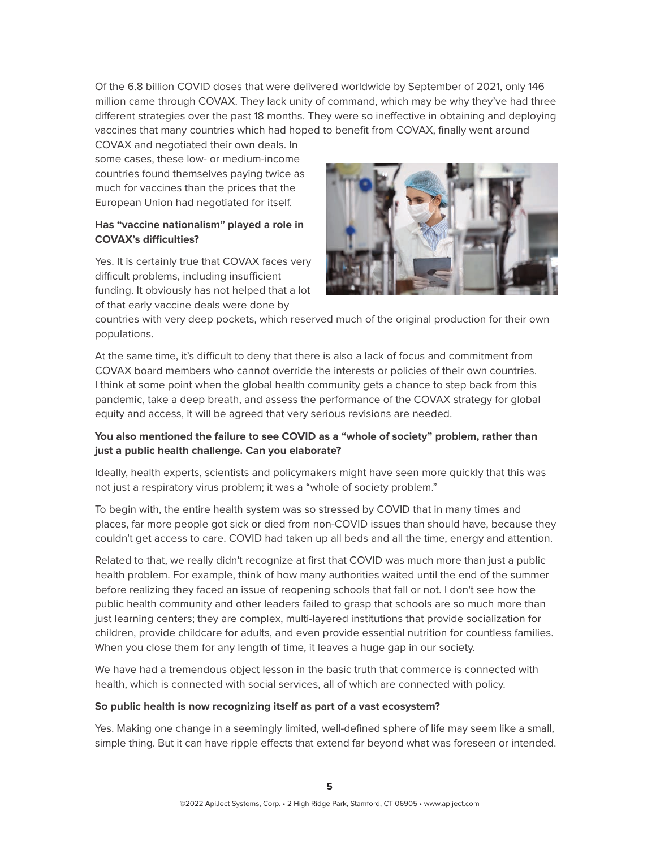Of the 6.8 billion COVID doses that were delivered worldwide by September of 2021, only 146 million came through COVAX. They lack unity of command, which may be why they've had three different strategies over the past 18 months. They were so ineffective in obtaining and deploying vaccines that many countries which had hoped to benefit from COVAX, finally went around

COVAX and negotiated their own deals. In some cases, these low- or medium-income countries found themselves paying twice as much for vaccines than the prices that the European Union had negotiated for itself.

#### **Has "vaccine nationalism" played a role in COVAX's difficulties?**

Yes. It is certainly true that COVAX faces very difficult problems, including insufficient funding. It obviously has not helped that a lot of that early vaccine deals were done by



countries with very deep pockets, which reserved much of the original production for their own populations.

At the same time, it's difficult to deny that there is also a lack of focus and commitment from COVAX board members who cannot override the interests or policies of their own countries. I think at some point when the global health community gets a chance to step back from this pandemic, take a deep breath, and assess the performance of the COVAX strategy for global equity and access, it will be agreed that very serious revisions are needed.

# **You also mentioned the failure to see COVID as a "whole of society" problem, rather than just a public health challenge. Can you elaborate?**

Ideally, health experts, scientists and policymakers might have seen more quickly that this was not just a respiratory virus problem; it was a "whole of society problem."

To begin with, the entire health system was so stressed by COVID that in many times and places, far more people got sick or died from non-COVID issues than should have, because they couldn't get access to care. COVID had taken up all beds and all the time, energy and attention.

Related to that, we really didn't recognize at first that COVID was much more than just a public health problem. For example, think of how many authorities waited until the end of the summer before realizing they faced an issue of reopening schools that fall or not. I don't see how the public health community and other leaders failed to grasp that schools are so much more than just learning centers; they are complex, multi-layered institutions that provide socialization for children, provide childcare for adults, and even provide essential nutrition for countless families. When you close them for any length of time, it leaves a huge gap in our society.

We have had a tremendous object lesson in the basic truth that commerce is connected with health, which is connected with social services, all of which are connected with policy.

#### **So public health is now recognizing itself as part of a vast ecosystem?**

Yes. Making one change in a seemingly limited, well-defined sphere of life may seem like a small, simple thing. But it can have ripple effects that extend far beyond what was foreseen or intended.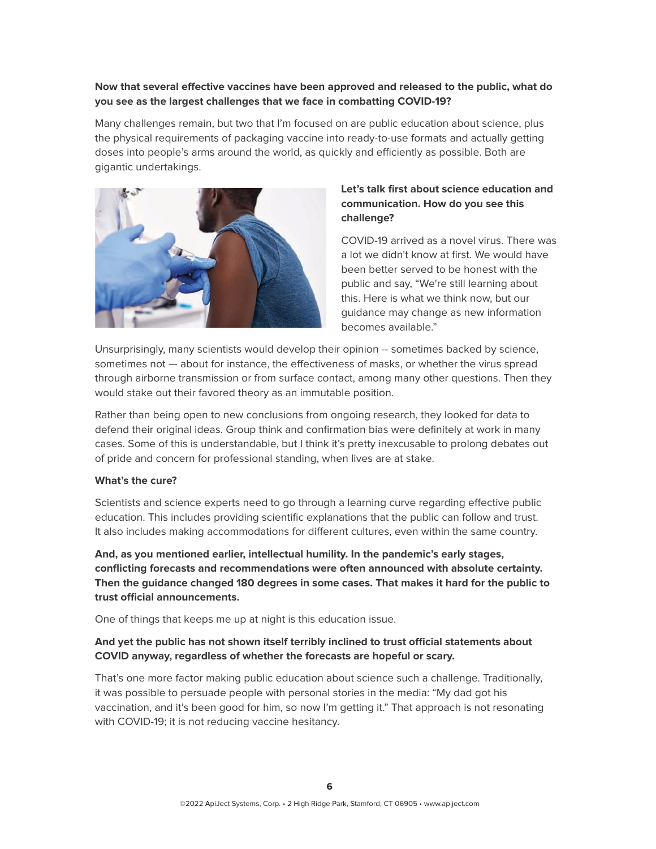# **Now that several effective vaccines have been approved and released to the public, what do you see as the largest challenges that we face in combatting COVID-19?**

Many challenges remain, but two that I'm focused on are public education about science, plus the physical requirements of packaging vaccine into ready-to-use formats and actually getting doses into people's arms around the world, as quickly and efficiently as possible. Both are gigantic undertakings.



# **Let's talk first about science education and communication. How do you see this challenge?**

COVID-19 arrived as a novel virus. There was a lot we didn't know at first. We would have been better served to be honest with the public and say, "We're still learning about this. Here is what we think now, but our guidance may change as new information becomes available."

Unsurprisingly, many scientists would develop their opinion -- sometimes backed by science, sometimes not — about for instance, the effectiveness of masks, or whether the virus spread through airborne transmission or from surface contact, among many other questions. Then they would stake out their favored theory as an immutable position.

Rather than being open to new conclusions from ongoing research, they looked for data to defend their original ideas. Group think and confirmation bias were definitely at work in many cases. Some of this is understandable, but I think it's pretty inexcusable to prolong debates out of pride and concern for professional standing, when lives are at stake.

#### **What's the cure?**

Scientists and science experts need to go through a learning curve regarding effective public education. This includes providing scientific explanations that the public can follow and trust. It also includes making accommodations for different cultures, even within the same country.

**And, as you mentioned earlier, intellectual humility. In the pandemic's early stages, conflicting forecasts and recommendations were often announced with absolute certainty. Then the guidance changed 180 degrees in some cases. That makes it hard for the public to trust official announcements.** 

One of things that keeps me up at night is this education issue.

## **And yet the public has not shown itself terribly inclined to trust official statements about COVID anyway, regardless of whether the forecasts are hopeful or scary.**

That's one more factor making public education about science such a challenge. Traditionally, it was possible to persuade people with personal stories in the media: "My dad got his vaccination, and it's been good for him, so now I'm getting it." That approach is not resonating with COVID-19; it is not reducing vaccine hesitancy.